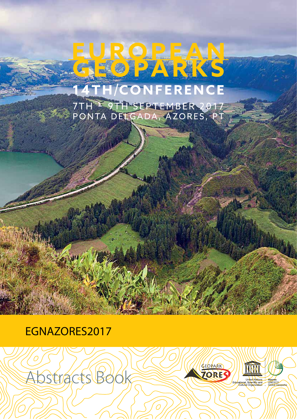## EUROPEAN TH/CONFERENCE

7TH = 9TH SEPTEMBER 2017<br>PONTA DELGADA, AZORES, PT